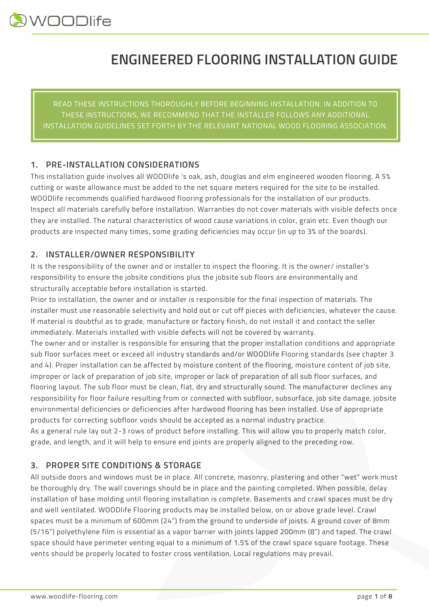# **ENGINEERED FLOORING INSTALLATION GUIDE**

READ THESE INSTRUCTIONS THOROUGHLY BEFORE BEGINNING INSTALLATION. IN ADDITION TO THESE INSTRUCTIONS, WE RECOMMEND THAT THE INSTALLER FOLLOWS ANY ADDITIONAL INSTALLATION GUIDELINES SET FORTH BY THE RELEVANT NATIONAL WOOD FLOORING ASSOCIATION.

# **1. PRE-INSTALLATION CONSIDERATIONS**

This installation guide involves all WOODlife 's oak, ash, douglas and elm engineered wooden flooring. A 5% cutting or waste allowance must be added to the net square meters required for the site to be installed. WOODlife recommends qualified hardwood flooring professionals for the installation of our products. Inspect all materials carefully before installation. Warranties do not cover materials with visible defects once they are installed. The natural characteristics of wood cause variations in color, grain etc. Even though our products are inspected many times, some grading deficiencies may occur (in up to 3% of the boards).

# **2. INSTALLER/OWNER RESPONSIBILITY**

It is the responsibility of the owner and or installer to inspect the flooring. It is the owner/ installer's responsibility to ensure the jobsite conditions plus the jobsite sub floors are environmentally and structurally acceptable before installation is started.

Prior to installation, the owner and or installer is responsible for the final inspection of materials. The installer must use reasonable selectivity and hold out or cut off pieces with deficiencies, whatever the cause. If material is doubtful as to grade, manufacture or factory finish, do not install it and contact the seller immediately. Materials installed with visible defects will not be covered by warranty.

The owner and or installer is responsible for ensuring that the proper installation conditions and appropriate sub floor surfaces meet or exceed all industry standards and/or WOODlife Flooring standards (see chapter 3 and 4). Proper installation can be affected by moisture content of the flooring, moisture content of job site, improper or lack of preparation of job site, improper or lack of preparation of all sub floor surfaces, and flooring layout. The sub floor must be clean, flat, dry and structurally sound. The manufacturer declines any responsibility for floor failure resulting from or connected with subfloor, subsurface, job site damage, jobsite environmental deficiencies or deficiencies after hardwood flooring has been installed. Use of appropriate products for correcting subfloor voids should be accepted as a normal industry practice.

As a general rule lay out 2-3 rows of product before installing. This will allow you to properly match color, grade, and length, and it will help to ensure end joints are properly aligned to the preceding row.

# **3. PROPER SITE CONDITIONS & STORAGE**

All outside doors and windows must be in place. All concrete, masonry, plastering and other "wet" work must be thoroughly dry. The wall coverings should be in place and the painting completed. When possible, delay installation of base molding until flooring installation is complete. Basements and crawl spaces must be dry and well ventilated. WOODlife Flooring products may be installed below, on or above grade level. Crawl spaces must be a minimum of 600mm (24") from the ground to underside of joists. A ground cover of 8mm (5/16") polyethylene film is essential as a vapor barrier with joints lapped 200mm (8") and taped. The crawl space should have perimeter venting equal to a minimum of 1.5% of the crawl space square footage. These vents should be properly located to foster cross ventilation. Local regulations may prevail.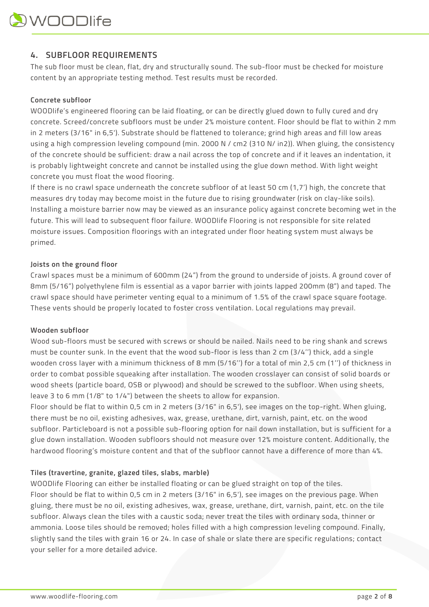# **4. SUBFLOOR REQUIREMENTS**

The sub floor must be clean, flat, dry and structurally sound. The sub-floor must be checked for moisture content by an appropriate testing method. Test results must be recorded.

# **Concrete subfloor**

WOODlife's engineered flooring can be laid floating, or can be directly glued down to fully cured and dry concrete. Screed/concrete subfloors must be under 2% moisture content. Floor should be flat to within 2 mm in 2 meters (3/16" in 6,5'). Substrate should be flattened to tolerance; grind high areas and fill low areas using a high compression leveling compound (min. 2000 N / cm2 (310 N/ in2)). When gluing, the consistency of the concrete should be sufficient: draw a nail across the top of concrete and if it leaves an indentation, it is probably lightweight concrete and cannot be installed using the glue down method. With light weight concrete you must float the wood flooring.

If there is no crawl space underneath the concrete subfloor of at least 50 cm (1,7') high, the concrete that measures dry today may become moist in the future due to rising groundwater (risk on clay-like soils). Installing a moisture barrier now may be viewed as an insurance policy against concrete becoming wet in the future. This will lead to subsequent floor failure. WOODlife Flooring is not responsible for site related moisture issues. Composition floorings with an integrated under floor heating system must always be primed.

#### **Joists on the ground floor**

Crawl spaces must be a minimum of 600mm (24") from the ground to underside of joists. A ground cover of 8mm (5/16") polyethylene film is essential as a vapor barrier with joints lapped 200mm (8") and taped. The crawl space should have perimeter venting equal to a minimum of 1.5% of the crawl space square footage. These vents should be properly located to foster cross ventilation. Local regulations may prevail.

#### **Wooden subfloor**

Wood sub-floors must be secured with screws or should be nailed. Nails need to be ring shank and screws must be counter sunk. In the event that the wood sub-floor is less than 2 cm (3/4'') thick, add a single wooden cross layer with a minimum thickness of 8 mm (5/16'') for a total of min 2,5 cm (1'') of thickness in order to combat possible squeaking after installation. The wooden crosslayer can consist of solid boards or wood sheets (particle board, OSB or plywood) and should be screwed to the subfloor. When using sheets, leave 3 to 6 mm (1/8" to 1/4") between the sheets to allow for expansion.

Floor should be flat to within 0,5 cm in 2 meters (3/16" in 6,5'), see images on the top-right. When gluing, there must be no oil, existing adhesives, wax, grease, urethane, dirt, varnish, paint, etc. on the wood subfloor. Particleboard is not a possible sub-flooring option for nail down installation, but is sufficient for a glue down installation. Wooden subfloors should not measure over 12% moisture content. Additionally, the hardwood flooring's moisture content and that of the subfloor cannot have a difference of more than 4%.

## **Tiles (travertine, granite, glazed tiles, slabs, marble)**

WOODlife Flooring can either be installed floating or can be glued straight on top of the tiles. Floor should be flat to within 0,5 cm in 2 meters (3/16" in 6,5'), see images on the previous page. When gluing, there must be no oil, existing adhesives, wax, grease, urethane, dirt, varnish, paint, etc. on the tile subfloor. Always clean the tiles with a caustic soda; never treat the tiles with ordinary soda, thinner or ammonia. Loose tiles should be removed; holes filled with a high compression leveling compound. Finally, slightly sand the tiles with grain 16 or 24. In case of shale or slate there are specific regulations; contact your seller for a more detailed advice.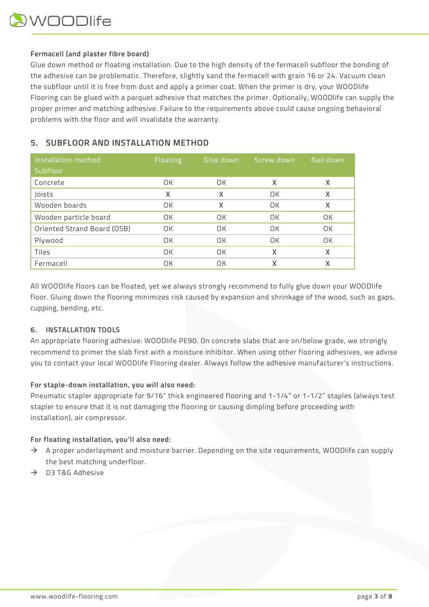## **Fermacell (and plaster fibre board)**

Glue down method or floating installation. Due to the high density of the fermacell subfloor the bonding of the adhesive can be problematic. Therefore, slightly sand the fermacell with grain 16 or 24. Vacuum clean the subfloor until it is free from dust and apply a primer coat. When the primer is dry, your WOODlife Flooring can be glued with a parquet adhesive that matches the primer. Optionally, WOODlife can supply the proper primer and matching adhesive. Failure to the requirements above could cause ongoing behavioral problems with the floor and will invalidate the warranty.

# **5. SUBFLOOR AND INSTALLATION METHOD**

| Installation method<br>Subfloor | Floating | Glue down | Screw down | Nail down |
|---------------------------------|----------|-----------|------------|-----------|
| Concrete                        | OК       | OК        | X          | X         |
| Joists                          | x        | x         | OК         | X         |
| Wooden boards                   | OK       | X         | OK         | X         |
| Wooden particle board           | OК       | OK        | OK         | OК        |
| Oriented Strand Board (OSB)     | OК       | OК        | OК         | OК        |
| Plywood                         | OК       | OК        | OК         | OК        |
| Tiles                           | OК       | OK        | X          | X         |
| Fermacell                       | OК       | OК        | χ          | χ         |

All WOODlife floors can be floated, yet we always strongly recommend to fully glue down your WOODlife floor. Gluing down the flooring minimizes risk caused by expansion and shrinkage of the wood, such as gaps, cupping, bending, etc.

# **6. INSTALLATION TOOLS**

An appropriate flooring adhesive: WOODlife PE90. On concrete slabs that are on/below grade, we strongly recommend to primer the slab first with a moisture inhibitor. When using other flooring adhesives, we advise you to contact your local WOODlife Flooring dealer. Always follow the adhesive manufacturer's instructions.

## **For staple-down installation, you will also need:**

Pneumatic stapler appropriate for 9/16" thick engineered flooring and 1-1/4" or 1-1/2" staples (always test stapler to ensure that it is not damaging the flooring or causing dimpling before proceeding with installation), air compressor.

## **For floating installation, you'll also need:**

- $\rightarrow$  A proper underlayment and moisture barrier. Depending on the site requirements, WOODlife can supply the best matching underfloor.
- $\rightarrow$  D3 T&G Adhesive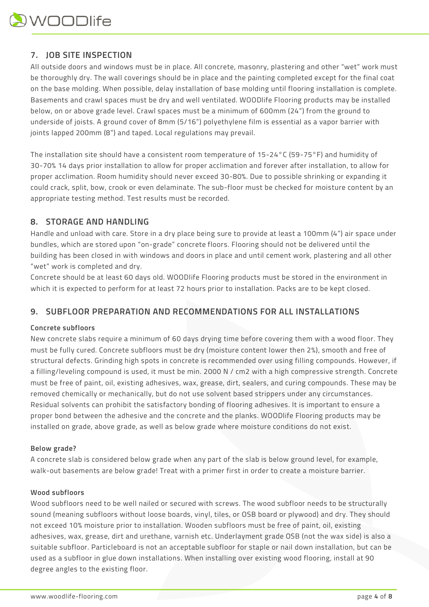

# **7. JOB SITE INSPECTION**

All outside doors and windows must be in place. All concrete, masonry, plastering and other "wet" work must be thoroughly dry. The wall coverings should be in place and the painting completed except for the final coat on the base molding. When possible, delay installation of base molding until flooring installation is complete. Basements and crawl spaces must be dry and well ventilated. WOODlife Flooring products may be installed below, on or above grade level. Crawl spaces must be a minimum of 600mm (24") from the ground to underside of joists. A ground cover of 8mm (5/16") polyethylene film is essential as a vapor barrier with joints lapped 200mm (8") and taped. Local regulations may prevail.

The installation site should have a consistent room temperature of 15-24°C (59-75°F) and humidity of 30-70% 14 days prior installation to allow for proper acclimation and forever after installation, to allow for proper acclimation. Room humidity should never exceed 30-80%. Due to possible shrinking or expanding it could crack, split, bow, crook or even delaminate. The sub-floor must be checked for moisture content by an appropriate testing method. Test results must be recorded.

# **8. STORAGE AND HANDLING**

Handle and unload with care. Store in a dry place being sure to provide at least a 100mm (4") air space under bundles, which are stored upon "on-grade" concrete floors. Flooring should not be delivered until the building has been closed in with windows and doors in place and until cement work, plastering and all other "wet" work is completed and dry.

Concrete should be at least 60 days old. WOODlife Flooring products must be stored in the environment in which it is expected to perform for at least 72 hours prior to installation. Packs are to be kept closed.

# **9. SUBFLOOR PREPARATION AND RECOMMENDATIONS FOR ALL INSTALLATIONS**

#### **Concrete subfloors**

New concrete slabs require a minimum of 60 days drying time before covering them with a wood floor. They must be fully cured. Concrete subfloors must be dry (moisture content lower then 2%), smooth and free of structural defects. Grinding high spots in concrete is recommended over using filling compounds. However, if a filling/leveling compound is used, it must be min. 2000 N / cm2 with a high compressive strength. Concrete must be free of paint, oil, existing adhesives, wax, grease, dirt, sealers, and curing compounds. These may be removed chemically or mechanically, but do not use solvent based strippers under any circumstances. Residual solvents can prohibit the satisfactory bonding of flooring adhesives. It is important to ensure a proper bond between the adhesive and the concrete and the planks. WOODlife Flooring products may be installed on grade, above grade, as well as below grade where moisture conditions do not exist.

#### **Below grade?**

A concrete slab is considered below grade when any part of the slab is below ground level, for example, walk-out basements are below grade! Treat with a primer first in order to create a moisture barrier.

#### **Wood subfloors**

Wood subfloors need to be well nailed or secured with screws. The wood subfloor needs to be structurally sound (meaning subfloors without loose boards, vinyl, tiles, or OSB board or plywood) and dry. They should not exceed 10% moisture prior to installation. Wooden subfloors must be free of paint, oil, existing adhesives, wax, grease, dirt and urethane, varnish etc. Underlayment grade OSB (not the wax side) is also a suitable subfloor. Particleboard is not an acceptable subfloor for staple or nail down installation, but can be used as a subfloor in glue down installations. When installing over existing wood flooring, install at 90 degree angles to the existing floor.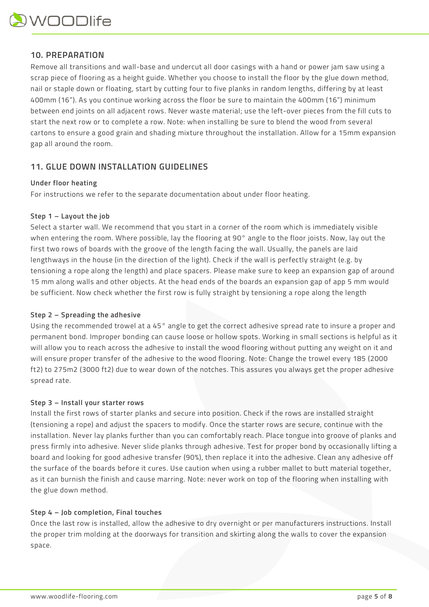# **10. PREPARATION**

Remove all transitions and wall-base and undercut all door casings with a hand or power jam saw using a scrap piece of flooring as a height guide. Whether you choose to install the floor by the glue down method, nail or staple down or floating, start by cutting four to five planks in random lengths, differing by at least 400mm (16"). As you continue working across the floor be sure to maintain the 400mm (16") minimum between end joints on all adjacent rows. Never waste material; use the left-over pieces from the fill cuts to start the next row or to complete a row. Note: when installing be sure to blend the wood from several cartons to ensure a good grain and shading mixture throughout the installation. Allow for a 15mm expansion gap all around the room.

# **11. GLUE DOWN INSTALLATION GUIDELINES**

#### **Under floor heating**

For instructions we refer to the separate documentation about under floor heating.

#### **Step 1 – Layout the job**

Select a starter wall. We recommend that you start in a corner of the room which is immediately visible when entering the room. Where possible, lay the flooring at 90° angle to the floor joists. Now, lay out the first two rows of boards with the groove of the length facing the wall. Usually, the panels are laid lengthways in the house (in the direction of the light). Check if the wall is perfectly straight (e.g. by tensioning a rope along the length) and place spacers. Please make sure to keep an expansion gap of around 15 mm along walls and other objects. At the head ends of the boards an expansion gap of app 5 mm would be sufficient. Now check whether the first row is fully straight by tensioning a rope along the length

## **Step 2 – Spreading the adhesive**

Using the recommended trowel at a 45° angle to get the correct adhesive spread rate to insure a proper and permanent bond. Improper bonding can cause loose or hollow spots. Working in small sections is helpful as it will allow you to reach across the adhesive to install the wood flooring without putting any weight on it and will ensure proper transfer of the adhesive to the wood flooring. Note: Change the trowel every 185 (2000 ft2) to 275m2 (3000 ft2) due to wear down of the notches. This assures you always get the proper adhesive spread rate.

#### **Step 3 – Install your starter rows**

Install the first rows of starter planks and secure into position. Check if the rows are installed straight (tensioning a rope) and adjust the spacers to modify. Once the starter rows are secure, continue with the installation. Never lay planks further than you can comfortably reach. Place tongue into groove of planks and press firmly into adhesive. Never slide planks through adhesive. Test for proper bond by occasionally lifting a board and looking for good adhesive transfer (90%), then replace it into the adhesive. Clean any adhesive off the surface of the boards before it cures. Use caution when using a rubber mallet to butt material together, as it can burnish the finish and cause marring. Note: never work on top of the flooring when installing with the glue down method.

## **Step 4 – Job completion, Final touches**

Once the last row is installed, allow the adhesive to dry overnight or per manufacturers instructions. Install the proper trim molding at the doorways for transition and skirting along the walls to cover the expansion space.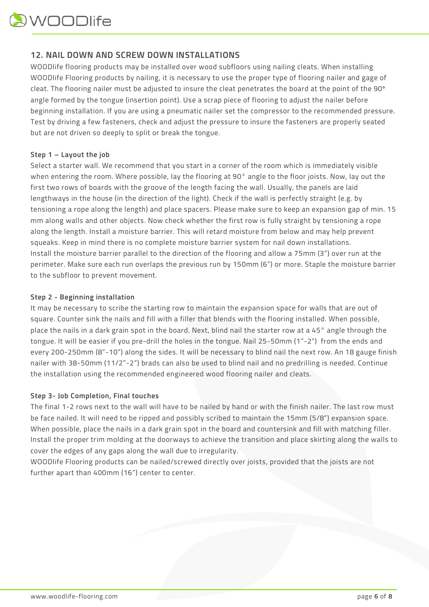

# **12. NAIL DOWN AND SCREW DOWN INSTALLATIONS**

WOODlife flooring products may be installed over wood subfloors using nailing cleats. When installing WOODlife Flooring products by nailing, it is necessary to use the proper type of flooring nailer and gage of cleat. The flooring nailer must be adjusted to insure the cleat penetrates the board at the point of the 90º angle formed by the tongue (insertion point). Use a scrap piece of flooring to adjust the nailer before beginning installation. If you are using a pneumatic nailer set the compressor to the recommended pressure. Test by driving a few fasteners, check and adjust the pressure to insure the fasteners are properly seated but are not driven so deeply to split or break the tongue.

#### **Step 1 – Layout the job**

Select a starter wall. We recommend that you start in a corner of the room which is immediately visible when entering the room. Where possible, lay the flooring at 90° angle to the floor joists. Now, lay out the first two rows of boards with the groove of the length facing the wall. Usually, the panels are laid lengthways in the house (in the direction of the light). Check if the wall is perfectly straight (e.g. by tensioning a rope along the length) and place spacers. Please make sure to keep an expansion gap of min. 15 mm along walls and other objects. Now check whether the first row is fully straight by tensioning a rope along the length. Install a moisture barrier. This will retard moisture from below and may help prevent squeaks. Keep in mind there is no complete moisture barrier system for nail down installations. Install the moisture barrier parallel to the direction of the flooring and allow a 75mm (3") over run at the perimeter. Make sure each run overlaps the previous run by 150mm (6") or more. Staple the moisture barrier to the subfloor to prevent movement.

#### **Step 2 - Beginning installation**

It may be necessary to scribe the starting row to maintain the expansion space for walls that are out of square. Counter sink the nails and fill with a filler that blends with the flooring installed. When possible, place the nails in a dark grain spot in the board. Next, blind nail the starter row at a 45° angle through the tongue. It will be easier if you pre-drill the holes in the tongue. Nail 25-50mm (1"-2") from the ends and every 200-250mm (8"-10") along the sides. It will be necessary to blind nail the next row. An 18 gauge finish nailer with 38-50mm (11/2"-2") brads can also be used to blind nail and no predrilling is needed. Continue the installation using the recommended engineered wood flooring nailer and cleats.

#### **Step 3- Job Completion, Final touches**

The final 1-2 rows next to the wall will have to be nailed by hand or with the finish nailer. The last row must be face nailed. It will need to be ripped and possibly scribed to maintain the 15mm (5/8") expansion space. When possible, place the nails in a dark grain spot in the board and countersink and fill with matching filler. Install the proper trim molding at the doorways to achieve the transition and place skirting along the walls to cover the edges of any gaps along the wall due to irregularity.

WOODlife Flooring products can be nailed/screwed directly over joists, provided that the joists are not further apart than 400mm (16") center to center.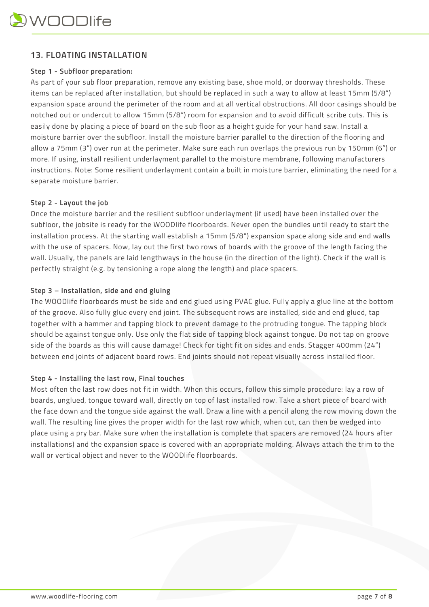# **13. FLOATING INSTALLATION**

## **Step 1 - Subfloor preparation:**

As part of your sub floor preparation, remove any existing base, shoe mold, or doorway thresholds. These items can be replaced after installation, but should be replaced in such a way to allow at least 15mm (5/8") expansion space around the perimeter of the room and at all vertical obstructions. All door casings should be notched out or undercut to allow 15mm (5/8") room for expansion and to avoid difficult scribe cuts. This is easily done by placing a piece of board on the sub floor as a height guide for your hand saw. Install a moisture barrier over the subfloor. Install the moisture barrier parallel to the direction of the flooring and allow a 75mm (3") over run at the perimeter. Make sure each run overlaps the previous run by 150mm (6") or more. If using, install resilient underlayment parallel to the moisture membrane, following manufacturers instructions. Note: Some resilient underlayment contain a built in moisture barrier, eliminating the need for a separate moisture barrier.

# **Step 2 - Layout the job**

Once the moisture barrier and the resilient subfloor underlayment (if used) have been installed over the subfloor, the jobsite is ready for the WOODlife floorboards. Never open the bundles until ready to start the installation process. At the starting wall establish a 15mm (5/8") expansion space along side and end walls with the use of spacers. Now, lay out the first two rows of boards with the groove of the length facing the wall. Usually, the panels are laid lengthways in the house (in the direction of the light). Check if the wall is perfectly straight (e.g. by tensioning a rope along the length) and place spacers.

# **Step 3 – Installation, side and end gluing**

The WOODlife floorboards must be side and end glued using PVAC glue. Fully apply a glue line at the bottom of the groove. Also fully glue every end joint. The subsequent rows are installed, side and end glued, tap together with a hammer and tapping block to prevent damage to the protruding tongue. The tapping block should be against tongue only. Use only the flat side of tapping block against tongue. Do not tap on groove side of the boards as this will cause damage! Check for tight fit on sides and ends. Stagger 400mm (24") between end joints of adjacent board rows. End joints should not repeat visually across installed floor.

## **Step 4 - Installing the last row, Final touches**

Most often the last row does not fit in width. When this occurs, follow this simple procedure: lay a row of boards, unglued, tongue toward wall, directly on top of last installed row. Take a short piece of board with the face down and the tongue side against the wall. Draw a line with a pencil along the row moving down the wall. The resulting line gives the proper width for the last row which, when cut, can then be wedged into place using a pry bar. Make sure when the installation is complete that spacers are removed (24 hours after installations) and the expansion space is covered with an appropriate molding. Always attach the trim to the wall or vertical object and never to the WOODlife floorboards.